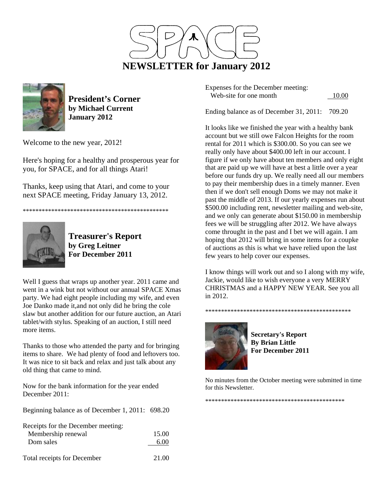



**President's Corner by Michael Current January 2012**

Welcome to the new year, 2012!

Here's hoping for a healthy and prosperous year for you, for SPACE, and for all things Atari!

Thanks, keep using that Atari, and come to your next SPACE meeting, Friday January 13, 2012.

\*\*\*\*\*\*\*\*\*\*\*\*\*\*\*\*\*\*\*\*\*\*\*\*\*\*\*\*\*\*\*\*\*\*\*\*\*\*\*\*\*\*\*\*\*\*



**Treasurer's Report by Greg Leitner For December 2011** 

Well I guess that wraps up another year. 2011 came and went in a wink but not without our annual SPACE Xmas party. We had eight people including my wife, and even Joe Danko made it,and not only did he bring the cole slaw but another addition for our future auction, an Atari tablet/with stylus. Speaking of an auction, I still need more items.

Thanks to those who attended the party and for bringing items to share. We had plenty of food and leftovers too. It was nice to sit back and relax and just talk about any old thing that came to mind.

Now for the bank information for the year ended December 2011:

Beginning balance as of December 1, 2011: 698.20

| Receipts for the December meeting: |              |
|------------------------------------|--------------|
| Membership renewal                 | 15.00        |
| Dom sales                          | 6.00         |
| Total resolute for December        | <b>21.00</b> |

Total receipts for December 21.00

Expenses for the December meeting: Web-site for one month 10.00

Ending balance as of December 31, 2011: 709.20

It looks like we finished the year with a healthy bank account but we still owe Falcon Heights for the room rental for 2011 which is \$300.00. So you can see we really only have about \$400.00 left in our account. I figure if we only have about ten members and only eight that are paid up we will have at best a little over a year before our funds dry up. We really need all our members to pay their membership dues in a timely manner. Even then if we don't sell enough Doms we may not make it past the middle of 2013. If our yearly expenses run about \$500.00 including rent, newsletter mailing and web-site, and we only can generate about \$150.00 in membership fees we will be struggling after 2012. We have always come throught in the past and I bet we will again. I am hoping that 2012 will bring in some items for a coupke of auctions as this is what we have relied upon the last few years to help cover our expenses.

I know things will work out and so I along with my wife, Jackie, would like to wish everyone a very MERRY CHRISTMAS and a HAPPY NEW YEAR. See you all in 2012.

\*\*\*\*\*\*\*\*\*\*\*\*\*\*\*\*\*\*\*\*\*\*\*\*\*\*\*\*\*\*\*\*\*\*\*\*\*\*\*\*\*\*\*\*\*\*



**Secretary's Report By Brian Little For December 2011** 

No minutes from the October meeting were submitted in time for this Newsletter.

\*\*\*\*\*\*\*\*\*\*\*\*\*\*\*\*\*\*\*\*\*\*\*\*\*\*\*\*\*\*\*\*\*\*\*\*\*\*\*\*\*\*\*\*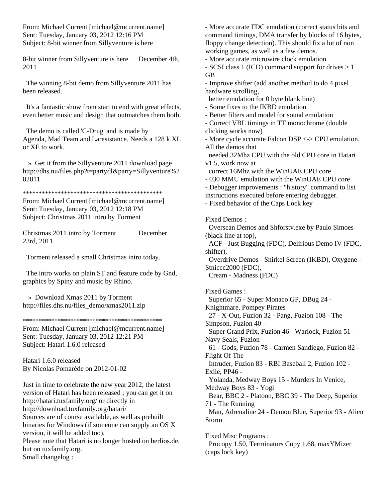From: Michael Current [michael@mcurrent.name] Sent: Tuesday, January 03, 2012 12:16 PM Subject: 8-bit winner from Sillyventure is here

8-bit winner from Sillyventure is here December 4th, 2011

 The winning 8-bit demo from Sillyventure 2011 has been released.

 It's a fantastic show from start to end with great effects, even better music and design that outmatches them both.

 The demo is called 'C-Drug' and is made by Agenda, Mad Team and Laresistance. Needs a 128 k XL or XE to work.

 » Get it from the Sillyventure 2011 download page http://dhs.nu/files.php?t=partydl&party=Sillyventure%2 02011

\*\*\*\*\*\*\*\*\*\*\*\*\*\*\*\*\*\*\*\*\*\*\*\*\*\*\*\*\*\*\*\*\*\*\*\*\*\*\*\*\*\*\*\*

From: Michael Current [michael@mcurrent.name] Sent: Tuesday, January 03, 2012 12:18 PM Subject: Christmas 2011 intro by Torment

Christmas 2011 intro by Torment December 23rd, 2011

Torment released a small Christmas intro today.

 The intro works on plain ST and feature code by Gnd, graphics by Spiny and music by Rhino.

 » Download Xmas 2011 by Torment http://files.dhs.nu/files\_demo/xmas2011.zip

\*\*\*\*\*\*\*\*\*\*\*\*\*\*\*\*\*\*\*\*\*\*\*\*\*\*\*\*\*\*\*\*\*\*\*\*\*\*\*\*\*\*\*\*

From: Michael Current [michael@mcurrent.name] Sent: Tuesday, January 03, 2012 12:21 PM Subject: Hatari 1.6.0 released

Hatari 1.6.0 released By Nicolas Pomarède on 2012-01-02

Just in time to celebrate the new year 2012, the latest version of Hatari has been released ; you can get it on http://hatari.tuxfamily.org/ or directly in http://download.tuxfamily.org/hatari/ Sources are of course available, as well as prebuilt binaries for Windows (if someone can supply an OS X version, it will be added too). Please note that Hatari is no longer hosted on berlios.de, but on tuxfamily.org. Small changelog :

- More accurate FDC emulation (correct status bits and command timings, DMA transfer by blocks of 16 bytes, floppy change detection). This should fix a lot of non working games, as well as a few demos.

- More accurate microwire clock emulation

- SCSI class 1 (ICD) command support for drives > 1 GB

- Improve shifter (add another method to do 4 pixel hardware scrolling,

better emulation for 0 byte blank line)

- Some fixes to the IKBD emulation

- Better filters and model for sound emulation

- Correct VBL timings in TT monochrome (double clicking works now)

- More cycle accurate Falcon DSP <-> CPU emulation. All the demos that

 needed 32Mhz CPU with the old CPU core in Hatari v1.5, work now at

correct 16Mhz with the WinUAE CPU core

- 030 MMU emulation with the WinUAE CPU core

- Debugger improvements : "history" command to list instructions executed before entering debugger.

- Fixed behavior of the Caps Lock key

Fixed Demos :

 Overscan Demos and Shforstv.exe by Paulo Simoes (black line at top),

 ACF - Just Bugging (FDC), Delirious Demo IV (FDC, shifter),

 Overdrive Demos - Snirkel Screen (IKBD), Oxygene - Stniccc2000 (FDC),

Cream - Madness (FDC)

Fixed Games : Superior 65 - Super Monaco GP, DBug 24 - Knightmare, Pompey Pirates 27 - X-Out, Fuzion 32 - Pang, Fuzion 108 - The Simpson, Fuzion 40 - Super Grand Prix, Fuzion 46 - Warlock, Fuzion 51 - Navy Seals, Fuzion 61 - Gods, Fuzion 78 - Carmen Sandiego, Fuzion 82 - Flight Of The Intruder, Fuzion 83 - RBI Baseball 2, Fuzion 102 - Exile, PP46 - Yolanda, Medway Boys 15 - Murders In Venice, Medway Boys 83 - Yogi Bear, BBC 2 - Platoon, BBC 39 - The Deep, Superior 71 - The Running Man, Adrenaline 24 - Demon Blue, Superior 93 - Alien Storm Fixed Misc Programs : Procopy 1.50, Terminators Copy 1.68, maxYMizer (caps lock key)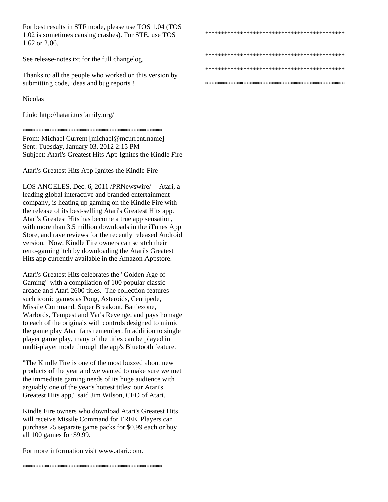For best results in STF mode, please use TOS 1.04 (TOS 1.02 is sometimes causing crashes). For STE, use TOS 1.62 or 2.06.

See release-notes.txt for the full changelog.

Thanks to all the people who worked on this version by submitting code, ideas and bug reports !

Nicolas

Link: http://hatari.tuxfamily.org/

\*\*\*\*\*\*\*\*\*\*\*\*\*\*\*\*\*\*\*\*\*\*\*\*\*\*\*\*\*\*\*\*\*\*\*\*\*\*\*\*\*\*\*\*

From: Michael Current [michael@mcurrent.name] Sent: Tuesday, January 03, 2012 2:15 PM Subject: Atari's Greatest Hits App Ignites the Kindle Fire

Atari's Greatest Hits App Ignites the Kindle Fire

LOS ANGELES, Dec. 6, 2011 /PRNewswire/ -- Atari, a leading global interactive and branded entertainment company, is heating up gaming on the Kindle Fire with the release of its best-selling Atari's Greatest Hits app. Atari's Greatest Hits has become a true app sensation, with more than 3.5 million downloads in the iTunes App Store, and rave reviews for the recently released Android version. Now, Kindle Fire owners can scratch their retro-gaming itch by downloading the Atari's Greatest Hits app currently available in the Amazon Appstore.

Atari's Greatest Hits celebrates the "Golden Age of Gaming" with a compilation of 100 popular classic arcade and Atari 2600 titles. The collection features such iconic games as Pong, Asteroids, Centipede, Missile Command, Super Breakout, Battlezone, Warlords, Tempest and Yar's Revenge, and pays homage to each of the originals with controls designed to mimic the game play Atari fans remember. In addition to single player game play, many of the titles can be played in multi-player mode through the app's Bluetooth feature.

"The Kindle Fire is one of the most buzzed about new products of the year and we wanted to make sure we met the immediate gaming needs of its huge audience with arguably one of the year's hottest titles: our Atari's Greatest Hits app," said Jim Wilson, CEO of Atari.

Kindle Fire owners who download Atari's Greatest Hits will receive Missile Command for FREE. Players can purchase 25 separate game packs for \$0.99 each or buy all 100 games for \$9.99.

For more information visit www.atari.com.

\*\*\*\*\*\*\*\*\*\*\*\*\*\*\*\*\*\*\*\*\*\*\*\*\*\*\*\*\*\*\*\*\*\*\*\*\*\*\*\*\*\*\*\*

\*\*\*\*\*\*\*\*\*\*\*\*\*\*\*\*\*\*\*\*\*\*\*\*\*\*\*\*\*\*\*\*\*\*\*\*\*\*\*\*\*\*\*\*

\*\*\*\*\*\*\*\*\*\*\*\*\*\*\*\*\*\*\*\*\*\*\*\*\*\*\*\*\*\*\*\*\*\*\*\*\*\*\*\*\*\*\*\*

\*\*\*\*\*\*\*\*\*\*\*\*\*\*\*\*\*\*\*\*\*\*\*\*\*\*\*\*\*\*\*\*\*\*\*\*\*\*